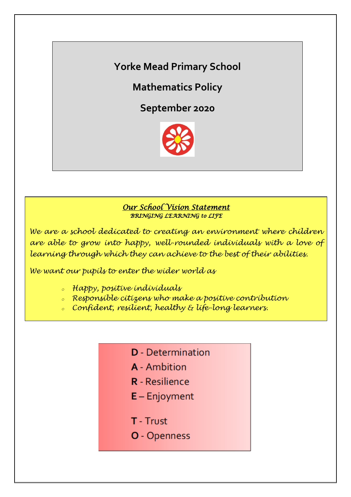**Yorke Mead Primary School**

**Mathematics Policy**

**September 2020**



## *Our School Vision Statement BRINGING LEARNING to LIFE*

*We are a school dedicated to creating an environment where children are able to grow into happy, well-rounded individuals with a love of learning through which they can achieve to the best of their abilities.*

*We want our pupils to enter the wider world as*

- *<sup>o</sup> Happy, positive individuals*
- *<sup>o</sup> Responsible citizens who make a positive contribution*
- *<sup>o</sup> Confident, resilient, healthy & life-long learners.*
	- **D** Determination
	- **A** Ambition
	- **R** Resilience
	- $E -$  Enjoyment
	- T Trust
	- O Openness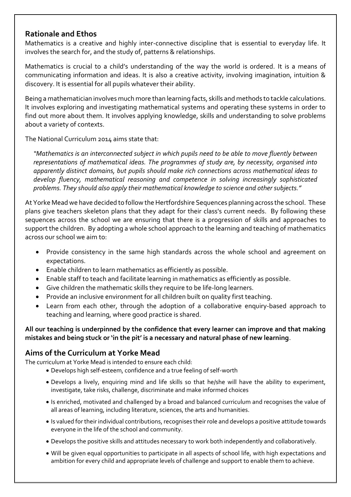# **Rationale and Ethos**

Mathematics is a creative and highly inter-connective discipline that is essential to everyday life. It involves the search for, and the study of, patterns & relationships.

Mathematics is crucial to a child's understanding of the way the world is ordered. It is a means of communicating information and ideas. It is also a creative activity, involving imagination, intuition & discovery. It is essential for all pupils whatever their ability.

Being a mathematician involves much more than learning facts, skills and methods to tackle calculations. It involves exploring and investigating mathematical systems and operating these systems in order to find out more about them. It involves applying knowledge, skills and understanding to solve problems about a variety of contexts.

The National Curriculum 2014 aims state that:

*"Mathematics is an interconnected subject in which pupils need to be able to move fluently between representations of mathematical ideas. The programmes of study are, by necessity, organised into apparently distinct domains, but pupils should make rich connections across mathematical ideas to develop fluency, mathematical reasoning and competence in solving increasingly sophisticated problems. They should also apply their mathematical knowledge to science and other subjects."* 

At Yorke Mead we have decided to follow the Hertfordshire Sequences planning across the school. These plans give teachers skeleton plans that they adapt for their class's current needs. By following these sequences across the school we are ensuring that there is a progression of skills and approaches to support the children. By adopting a whole school approach to the learning and teaching of mathematics across our school we aim to:

- Provide consistency in the same high standards across the whole school and agreement on expectations.
- Enable children to learn mathematics as efficiently as possible.
- Enable staff to teach and facilitate learning in mathematics as efficiently as possible.
- Give children the mathematic skills they require to be life-long learners.
- Provide an inclusive environment for all children built on quality first teaching.
- Learn from each other, through the adoption of a collaborative enquiry-based approach to teaching and learning, where good practice is shared.

### **All our teaching is underpinned by the confidence that every learner can improve and that making mistakes and being stuck or 'in the pit' is a necessary and natural phase of new learning**.

# **Aims of the Curriculum at Yorke Mead**

The curriculum at Yorke Mead is intended to ensure each child:

- Develops high self-esteem, confidence and a true feeling of self-worth
- Develops a lively, enquiring mind and life skills so that he/she will have the ability to experiment, investigate, take risks, challenge, discriminate and make informed choices
- Is enriched, motivated and challenged by a broad and balanced curriculum and recognises the value of all areas of learning, including literature, sciences, the arts and humanities.
- Is valued for their individual contributions, recognises their role and develops a positive attitude towards everyone in the life of the school and community.
- Develops the positive skills and attitudes necessary to work both independently and collaboratively.
- Will be given equal opportunities to participate in all aspects of school life, with high expectations and ambition for every child and appropriate levels of challenge and support to enable them to achieve.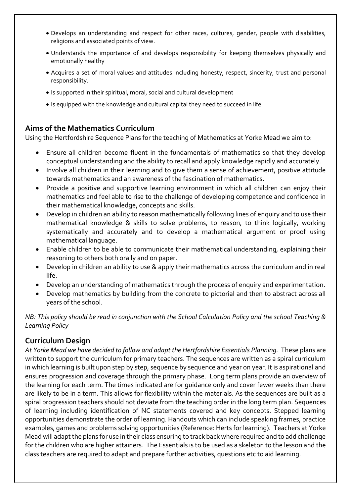- Develops an understanding and respect for other races, cultures, gender, people with disabilities, religions and associated points of view.
- Understands the importance of and develops responsibility for keeping themselves physically and emotionally healthy
- Acquires a set of moral values and attitudes including honesty, respect, sincerity, trust and personal responsibility.
- Is supported in their spiritual, moral, social and cultural development
- Is equipped with the knowledge and cultural capital they need to succeed in life

# **Aims of the Mathematics Curriculum**

Using the Hertfordshire Sequence Plans for the teaching of Mathematics at Yorke Mead we aim to:

- Ensure all children become fluent in the fundamentals of mathematics so that they develop conceptual understanding and the ability to recall and apply knowledge rapidly and accurately.
- Involve all children in their learning and to give them a sense of achievement, positive attitude towards mathematics and an awareness of the fascination of mathematics.
- Provide a positive and supportive learning environment in which all children can enjoy their mathematics and feel able to rise to the challenge of developing competence and confidence in their mathematical knowledge, concepts and skills.
- Develop in children an ability to reason mathematically following lines of enquiry and to use their mathematical knowledge & skills to solve problems, to reason, to think logically, working systematically and accurately and to develop a mathematical argument or proof using mathematical language.
- Enable children to be able to communicate their mathematical understanding, explaining their reasoning to others both orally and on paper.
- Develop in children an ability to use & apply their mathematics across the curriculum and in real life.
- Develop an understanding of mathematics through the process of enquiry and experimentation.
- Develop mathematics by building from the concrete to pictorial and then to abstract across all years of the school.

*NB: This policy should be read in conjunction with the School Calculation Policy and the school Teaching & Learning Policy*

# **Curriculum Design**

*At Yorke Mead we have decided to follow and adapt the Hertfordshire Essentials Planning.* These plans are written to support the curriculum for primary teachers. The sequences are written as a spiral curriculum in which learning is built upon step by step, sequence by sequence and year on year. It is aspirational and ensures progression and coverage through the primary phase. Long term plans provide an overview of the learning for each term. The times indicated are for guidance only and cover fewer weeks than there are likely to be in a term. This allows for flexibility within the materials. As the sequences are built as a spiral progression teachers should not deviate from the teaching order in the long term plan. Sequences of learning including identification of NC statements covered and key concepts. Stepped learning opportunities demonstrate the order of learning. Handouts which can include speaking frames, practice examples, games and problems solving opportunities (Reference: Herts for learning). Teachers at Yorke Mead will adapt the plans for use in their class ensuring to track back where required and to add challenge for the children who are higher attainers. The Essentials is to be used as a skeleton to the lesson and the class teachers are required to adapt and prepare further activities, questions etc to aid learning.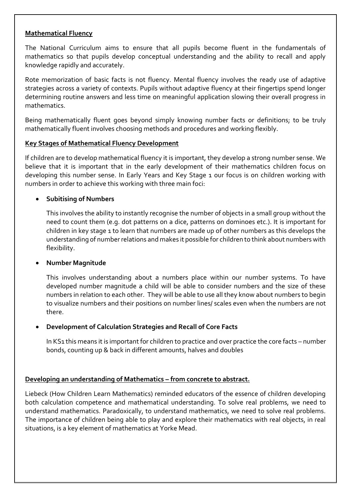#### **Mathematical Fluency**

The National Curriculum aims to ensure that all pupils become fluent in the fundamentals of mathematics so that pupils develop conceptual understanding and the ability to recall and apply knowledge rapidly and accurately.

Rote memorization of basic facts is not fluency. Mental fluency involves the ready use of adaptive strategies across a variety of contexts. Pupils without adaptive fluency at their fingertips spend longer determining routine answers and less time on meaningful application slowing their overall progress in mathematics.

Being mathematically fluent goes beyond simply knowing number facts or definitions; to be truly mathematically fluent involves choosing methods and procedures and working flexibly.

#### **Key Stages of Mathematical Fluency Development**

If children are to develop mathematical fluency it is important, they develop a strong number sense. We believe that it is important that in the early development of their mathematics children focus on developing this number sense. In Early Years and Key Stage 1 our focus is on children working with numbers in order to achieve this working with three main foci:

#### **Subitising of Numbers**

This involves the ability to instantly recognise the number of objects in a small group without the need to count them (e.g. dot patterns on a dice, patterns on dominoes etc.). It is important for children in key stage 1 to learn that numbers are made up of other numbers as this develops the understanding of number relations and makes it possible for children to think about numbers with flexibility.

#### **Number Magnitude**

This involves understanding about a numbers place within our number systems. To have developed number magnitude a child will be able to consider numbers and the size of these numbers in relation to each other. They will be able to use all they know about numbers to begin to visualize numbers and their positions on number lines/ scales even when the numbers are not there.

#### **Development of Calculation Strategies and Recall of Core Facts**

In KS1 this means it is important for children to practice and over practice the core facts – number bonds, counting up & back in different amounts, halves and doubles

#### **Developing an understanding of Mathematics – from concrete to abstract.**

Liebeck (How Children Learn Mathematics) reminded educators of the essence of children developing both calculation competence and mathematical understanding. To solve real problems, we need to understand mathematics. Paradoxically, to understand mathematics, we need to solve real problems. The importance of children being able to play and explore their mathematics with real objects, in real situations, is a key element of mathematics at Yorke Mead.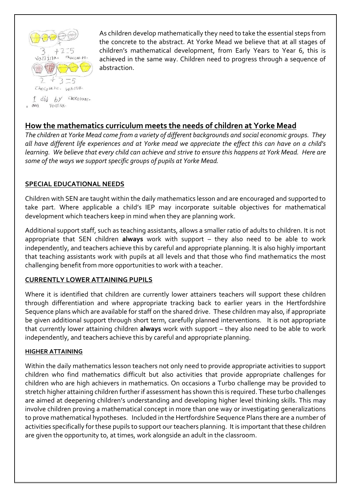

1 Ott Vatilla.

As children develop mathematically they need to take the essential steps from the concrete to the abstract. At Yorke Mead we believe that at all stages of children's mathematical development, from Early Years to Year 6, this is achieved in the same way. Children need to progress through a sequence of abstraction.

# **How the mathematics curriculum meets the needs of children at Yorke Mead**

*The children at Yorke Mead come from a variety of different backgrounds and social economic groups. They all have different life experiences and at Yorke mead we appreciate the effect this can have on a child's learning. We believe that every child can achieve and strive to ensure this happens at York Mead. Here are some of the ways we support specific groups of pupils at Yorke Mead.*

### **SPECIAL EDUCATIONAL NEEDS**

Children with SEN are taught within the daily mathematics lesson and are encouraged and supported to take part. Where applicable a child's IEP may incorporate suitable objectives for mathematical development which teachers keep in mind when they are planning work.

Additional support staff, such as teaching assistants, allows a smaller ratio of adults to children. It is not appropriate that SEN children **always** work with support – they also need to be able to work independently, and teachers achieve this by careful and appropriate planning. It is also highly important that teaching assistants work with pupils at all levels and that those who find mathematics the most challenging benefit from more opportunities to work with a teacher.

### **CURRENTLY LOWER ATTAINING PUPILS**

Where it is identified that children are currently lower attainers teachers will support these children through differentiation and where appropriate tracking back to earlier years in the Hertfordshire Sequence plans which are available for staff on the shared drive. These children may also, if appropriate be given additional support through short term, carefully planned interventions. It is not appropriate that currently lower attaining children **always** work with support – they also need to be able to work independently, and teachers achieve this by careful and appropriate planning.

#### **HIGHER ATTAINING**

Within the daily mathematics lesson teachers not only need to provide appropriate activities to support children who find mathematics difficult but also activities that provide appropriate challenges for children who are high achievers in mathematics. On occasions a Turbo challenge may be provided to stretch higher attaining children further if assessment has shown this is required. These turbo challenges are aimed at deepening children's understanding and developing higher level thinking skills. This may involve children proving a mathematical concept in more than one way or investigating generalizations to prove mathematical hypotheses. Included in the Hertfordshire Sequence Plans there are a number of activities specifically for these pupils to support our teachers planning. It is important that these children are given the opportunity to, at times, work alongside an adult in the classroom.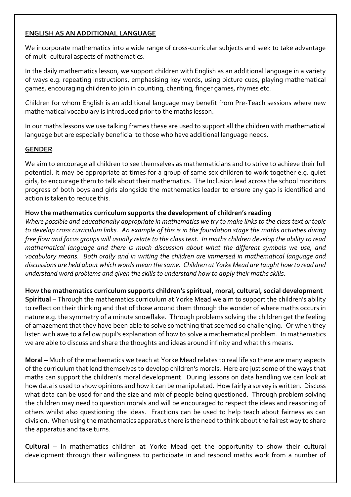## **ENGLISH AS AN ADDITIONAL LANGUAGE**

We incorporate mathematics into a wide range of cross-curricular subjects and seek to take advantage of multi-cultural aspects of mathematics.

In the daily mathematics lesson, we support children with English as an additional language in a variety of ways e.g. repeating instructions, emphasising key words, using picture cues, playing mathematical games, encouraging children to join in counting, chanting, finger games, rhymes etc.

Children for whom English is an additional language may benefit from Pre-Teach sessions where new mathematical vocabulary is introduced prior to the maths lesson.

In our maths lessons we use talking frames these are used to support all the children with mathematical language but are especially beneficial to those who have additional language needs.

### **GENDER**

We aim to encourage all children to see themselves as mathematicians and to strive to achieve their full potential. It may be appropriate at times for a group of same sex children to work together e.g. quiet girls, to encourage them to talk about their mathematics. The Inclusion lead across the school monitors progress of both boys and girls alongside the mathematics leader to ensure any gap is identified and action is taken to reduce this.

#### **How the mathematics curriculum supports the development of children's reading**

*Where possible and educationally appropriate in mathematics we try to make links to the class text or topic to develop cross curriculum links. An example of this is in the foundation stage the maths activities during free flow and focus groups will usually relate to the class text. In maths children develop the ability to read mathematical language and there is much discussion about what the different symbols we use, and vocabulary means. Both orally and in writing the children are immersed in mathematical language and discussions are held about which words mean the same. Children at Yorke Mead are taught how to read and understand word problems and given the skills to understand how to apply their maths skills.* 

#### **How the mathematics curriculum supports children's spiritual, moral, cultural, social development**

**Spiritual –** Through the mathematics curriculum at Yorke Mead we aim to support the children's ability to reflect on their thinking and that of those around them through the wonder of where maths occurs in nature e.g. the symmetry of a minute snowflake. Through problems solving the children get the feeling of amazement that they have been able to solve something that seemed so challenging. Or when they listen with awe to a fellow pupil's explanation of how to solve a mathematical problem. In mathematics we are able to discuss and share the thoughts and ideas around infinity and what this means.

**Moral –** Much of the mathematics we teach at Yorke Mead relates to real life so there are many aspects of the curriculum that lend themselves to develop children's morals. Here are just some of the ways that maths can support the children's moral development. During lessons on data handling we can look at how data is used to show opinions and how it can be manipulated. How fairly a survey is written. Discuss what data can be used for and the size and mix of people being questioned. Through problem solving the children may need to question morals and will be encouraged to respect the ideas and reasoning of others whilst also questioning the ideas. Fractions can be used to help teach about fairness as can division. When using the mathematics apparatus there is the need to think about the fairest way to share the apparatus and take turns.

**Cultural –** In mathematics children at Yorke Mead get the opportunity to show their cultural development through their willingness to participate in and respond maths work from a number of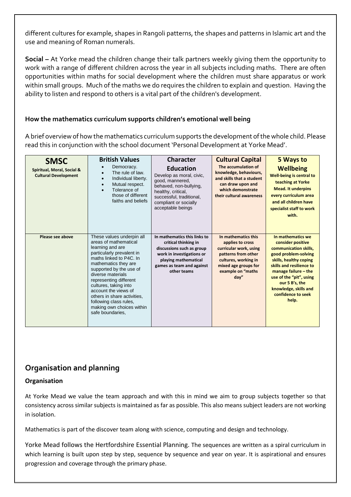different cultures for example, shapes in Rangoli patterns, the shapes and patterns in Islamic art and the use and meaning of Roman numerals.

**Social –** At Yorke mead the children change their talk partners weekly giving them the opportunity to work with a range of different children across the year in all subjects including maths. There are often opportunities within maths for social development where the children must share apparatus or work within small groups. Much of the maths we do requires the children to explain and question. Having the ability to listen and respond to others is a vital part of the children's development.

#### **How the mathematics curriculum supports children's emotional well being**

A brief overview of how the mathematics curriculum supports the development of the whole child. Please read this in conjunction with the school document 'Personal Development at Yorke Mead'.

| <b>SMSC</b><br>Spiritual, Moral, Social &<br><b>Cultural Development</b> | <b>British Values</b><br>Democracy.<br>The rule of law.<br>Individual liberty.<br>Mutual respect.<br>Tolerance of<br>those of different<br>faiths and beliefs                                                                                                                                                                                                                               | <b>Character</b><br><b>Education</b><br>Develop as moral, civic,<br>good, mannered,<br>behaved, non-bullying,<br>healthy, critical,<br>successful, traditional,<br>compliant or socially<br>acceptable beings | <b>Cultural Capital</b><br>The accumulation of<br>knowledge, behaviours,<br>and skills that a student<br>can draw upon and<br>which demonstrate<br>their cultural awareness | 5 Ways to<br><b>Wellbeing</b><br>Well-being is central to<br>teaching at Yorke<br><b>Mead. It underpins</b><br>every curriculum area<br>and all children have<br>specialist staff to work<br>with.                                                                         |
|--------------------------------------------------------------------------|---------------------------------------------------------------------------------------------------------------------------------------------------------------------------------------------------------------------------------------------------------------------------------------------------------------------------------------------------------------------------------------------|---------------------------------------------------------------------------------------------------------------------------------------------------------------------------------------------------------------|-----------------------------------------------------------------------------------------------------------------------------------------------------------------------------|----------------------------------------------------------------------------------------------------------------------------------------------------------------------------------------------------------------------------------------------------------------------------|
| Please see above                                                         | These values underpin all<br>areas of mathematical<br>learning and are<br>particularly prevalent in<br>maths linked to P4C. In<br>mathematics they are<br>supported by the use of<br>diverse materials<br>representing different<br>cultures, taking into<br>account the views of<br>others in share activities.<br>following class rules,<br>making own choices within<br>safe boundaries. | In mathematics this links to<br>critical thinking in<br>discussions such as group<br>work in investigations or<br>playing mathematical<br>games as team and against<br>other teams                            | In mathematics this<br>applies to cross<br>curricular work, using<br>patterns from other<br>cultures, working in<br>mixed age groups for<br>example on "maths<br>day''      | In mathematics we<br>consider positive<br>communication skills,<br>good problem-solving<br>skills, healthy coping<br>skills and resilience to<br>manage failure - the<br>use of the "pit", using<br>our 5 B's, the<br>knowledge, skills and<br>confidence to seek<br>help. |

# **Organisation and planning**

#### **Organisation**

At Yorke Mead we value the team approach and with this in mind we aim to group subjects together so that consistency across similar subjects is maintained as far as possible. This also means subject leaders are not working in isolation.

Mathematics is part of the discover team along with science, computing and design and technology.

Yorke Mead follows the Hertfordshire Essential Planning. The sequences are written as a spiral curriculum in which learning is built upon step by step, sequence by sequence and year on year. It is aspirational and ensures progression and coverage through the primary phase.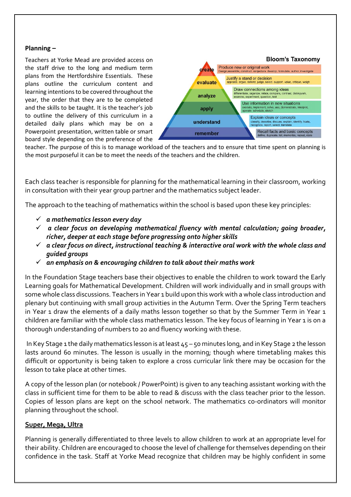#### **Planning –**

Teachers at Yorke Mead are provided access on the staff drive to the long and medium term plans from the Hertfordshire Essentials. These plans outline the curriculum content and learning intentions to be covered throughout the year, the order that they are to be completed and the skills to be taught. It is the teacher's job to outline the delivery of this curriculum in a detailed daily plans which may be on a Powerpoint presentation, written table or smart board style depending on the preference of the



teacher. The purpose of this is to manage workload of the teachers and to ensure that time spent on planning is the most purposeful it can be to meet the needs of the teachers and the children.

Each class teacher is responsible for planning for the mathematical learning in their classroom, working in consultation with their year group partner and the mathematics subject leader.

The approach to the teaching of mathematics within the school is based upon these key principles:

- *a mathematics lesson every day*
- *a clear focus on developing mathematical fluency with mental calculation; going broader, richer, deeper at each stage before progressing onto higher skills*
- *a clear focus on direct, instructional teaching & interactive oral work with the whole class and guided groups*
- *an emphasis on & encouraging children to talk about their maths work*

In the Foundation Stage teachers base their objectives to enable the children to work toward the Early Learning goals for Mathematical Development. Children will work individually and in small groups with some whole class discussions. Teachers in Year 1 build upon this work with a whole class introduction and plenary but continuing with small group activities in the Autumn Term. Over the Spring Term teachers in Year 1 draw the elements of a daily maths lesson together so that by the Summer Term in Year 1 children are familiar with the whole class mathematics lesson. The key focus of learning in Year 1 is on a thorough understanding of numbers to 20 and fluency working with these.

In Key Stage 1 the daily mathematics lesson is at least 45 – 50 minutes long, and in Key Stage 2 the lesson lasts around 60 minutes. The lesson is usually in the morning; though where timetabling makes this difficult or opportunity is being taken to explore a cross curricular link there may be occasion for the lesson to take place at other times.

A copy of the lesson plan (or notebook / PowerPoint) is given to any teaching assistant working with the class in sufficient time for them to be able to read & discuss with the class teacher prior to the lesson. Copies of lesson plans are kept on the school network. The mathematics co-ordinators will monitor planning throughout the school.

#### **Super, Mega, Ultra**

Planning is generally differentiated to three levels to allow children to work at an appropriate level for their ability. Children are encouraged to choose the level of challenge for themselves depending on their confidence in the task. Staff at Yorke Mead recognize that children may be highly confident in some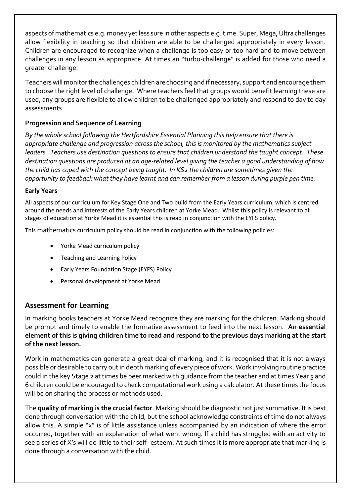aspects of mathematics e.g. money yet less sure in other aspects e.g. time. Super, Mega, Ultra challenges allow flexibility in teaching so that children are able to be challenged appropriately in every lesson. Children are encouraged to recognize when a challenge is too easy or too hard and to move between challenges in any lesson as appropriate. At times an "turbo-challenge" is added for those who need a greater challenge.

Teachers will monitor the challenges children are choosing and if necessary, support and encourage them to choose the right level of challenge. Where teachers feel that groups would benefit learning these are used, any groups are flexible to allow children to be challenged appropriately and respond to day to day assessments.

## **Progression and Sequence of Learning**

*By the whole school following the Hertfordshire Essential Planning this help ensure that there is appropriate challenge and progression across the school, this is monitored by the mathematics subject leaders. Teachers use destination questions to ensure that children understand the taught concept. These destination questions are produced at an age-related level giving the teacher a good understanding of how the child has coped with the concept being taught. In KS2 the children are sometimes given the opportunity to feedback what they have learnt and can remember from a lesson during purple pen time.*

#### **Early Years**

All aspects of our curriculum for Key Stage One and Two build from the Early Years curriculum, which is centred around the needs and interests of the Early Years children at Yorke Mead. Whilst this policy is relevant to all stages of education at Yorke Mead it is essential this is read in conjunction with the EYFS policy.

This mathematics curriculum policy should be read in conjunction with the following policies:

- Yorke Mead curriculum policy
- Teaching and Learning Policy
- Early Years Foundation Stage (EYFS) Policy
- Personal development at Yorke Mead

# **Assessment for Learning**

In marking books teachers at Yorke Mead recognize they are marking for the children. Marking should be prompt and timely to enable the formative assessment to feed into the next lesson. **An essential element of this is giving children time to read and respond to the previous days marking at the start of the next lesson.** 

Work in mathematics can generate a great deal of marking, and it is recognised that it is not always possible or desirable to carry out in depth marking of every piece of work. Work involving routine practice could in the key Stage 2 at times be peer marked with guidance from the teacher and at times Year 5 and 6 children could be encouraged to check computational work using a calculator. At these times the focus will be on sharing the process or methods used.

The **quality of marking is the crucial factor**. Marking should be diagnostic not just summative. It is best done through conversation with the child, but the school acknowledge constraints of time do not always allow this. A simple "x" is of little assistance unless accompanied by an indication of where the error occurred, together with an explanation of what went wrong. If a child has struggled with an activity to see a series of X's will do little to their self- esteem. At such times it is more appropriate that marking is done through a conversation with the child.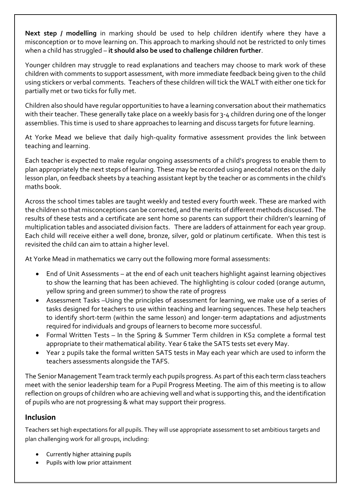**Next step / modelling** in marking should be used to help children identify where they have a misconception or to move learning on. This approach to marking should not be restricted to only times when a child has struggled – **it should also be used to challenge children further**.

Younger children may struggle to read explanations and teachers may choose to mark work of these children with comments to support assessment, with more immediate feedback being given to the child using stickers or verbal comments. Teachers of these children will tick the WALT with either one tick for partially met or two ticks for fully met.

Children also should have regular opportunities to have a learning conversation about their mathematics with their teacher. These generally take place on a weekly basis for 3-4 children during one of the longer assemblies. This time is used to share approaches to learning and discuss targets for future learning.

At Yorke Mead we believe that daily high-quality formative assessment provides the link between teaching and learning.

Each teacher is expected to make regular ongoing assessments of a child's progress to enable them to plan appropriately the next steps of learning. These may be recorded using anecdotal notes on the daily lesson plan, on feedback sheets by a teaching assistant kept by the teacher or as comments in the child's maths book.

Across the school times tables are taught weekly and tested every fourth week. These are marked with the children so that misconceptions can be corrected, and the merits of different methods discussed. The results of these tests and a certificate are sent home so parents can support their children's learning of multiplication tables and associated division facts. There are ladders of attainment for each year group. Each child will receive either a well done, bronze, silver, gold or platinum certificate. When this test is revisited the child can aim to attain a higher level.

At Yorke Mead in mathematics we carry out the following more formal assessments:

- End of Unit Assessments at the end of each unit teachers highlight against learning objectives to show the learning that has been achieved. The highlighting is colour coded (orange autumn, yellow spring and green summer) to show the rate of progress
- Assessment Tasks –Using the principles of assessment for learning, we make use of a series of tasks designed for teachers to use within teaching and learning sequences. These help teachers to identify short-term (within the same lesson) and longer-term adaptations and adjustments required for individuals and groups of learners to become more successful.
- Formal Written Tests In the Spring & Summer Term children in KS2 complete a formal test appropriate to their mathematical ability. Year 6 take the SATS tests set every May.
- Year 2 pupils take the formal written SATS tests in May each year which are used to inform the teachers assessments alongside the TAFS.

The Senior Management Team track termly each pupils progress. As part of this each term class teachers meet with the senior leadership team for a Pupil Progress Meeting. The aim of this meeting is to allow reflection on groups of children who are achieving well and what is supporting this, and the identification of pupils who are not progressing & what may support their progress.

### **Inclusion**

Teachers set high expectations for all pupils. They will use appropriate assessment to set ambitious targets and plan challenging work for all groups, including:

- Currently higher attaining pupils
- Pupils with low prior attainment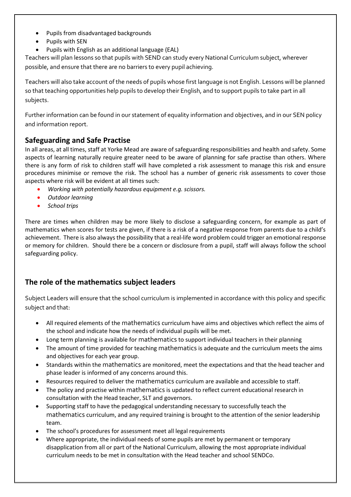- Pupils from disadvantaged backgrounds
- Pupils with SEN
- Pupils with English as an additional language (EAL)

Teachers will plan lessons so that pupils with SEND can study every National Curriculum subject, wherever possible, and ensure that there are no barriers to every pupil achieving.

Teachers will also take account of the needs of pupils whose first language is not English. Lessons will be planned so that teaching opportunities help pupils to develop their English, and to support pupils to take part in all subjects.

Further information can be found in our statement of equality information and objectives, and in our SEN policy and information report.

## **Safeguarding and Safe Practise**

In all areas, at all times, staff at Yorke Mead are aware of safeguarding responsibilities and health and safety. Some aspects of learning naturally require greater need to be aware of planning for safe practise than others. Where there is any form of risk to children staff will have completed a risk assessment to manage this risk and ensure procedures minimise or remove the risk. The school has a number of generic risk assessments to cover those aspects where risk will be evident at all times such:

- *Working with potentially hazardous equipment e.g. scissors.*
- *Outdoor learning*
- *School trips*

There are times when children may be more likely to disclose a safeguarding concern, for example as part of mathematics when scores for tests are given, if there is a risk of a negative response from parents due to a child's achievement. There is also always the possibility that a real-life word problem could trigger an emotional response or memory for children. Should there be a concern or disclosure from a pupil, staff will always follow the school safeguarding policy.

# **The role of the mathematics subject leaders**

Subject Leaders will ensure that the school curriculum is implemented in accordance with this policy and specific subject and that:

- All required elements of the mathematics curriculum have aims and objectives which reflect the aims of the school and indicate how the needs of individual pupils will be met.
- Long term planning is available for mathematics to support individual teachers in their planning
- The amount of time provided for teaching mathematics is adequate and the curriculum meets the aims and objectives for each year group.
- Standards within the mathematics are monitored, meet the expectations and that the head teacher and phase leader is informed of any concerns around this.
- Resources required to deliver the mathematics curriculum are available and accessible to staff.
- The policy and practise within mathematics is updated to reflect current educational research in consultation with the Head teacher, SLT and governors.
- Supporting staff to have the pedagogical understanding necessary to successfully teach the mathematics curriculum, and any required training is brought to the attention of the senior leadership team.
- The school's procedures for assessment meet all legal requirements
- Where appropriate, the individual needs of some pupils are met by permanent or temporary disapplication from all or part of the National Curriculum, allowing the most appropriate individual curriculum needs to be met in consultation with the Head teacher and school SENDCo.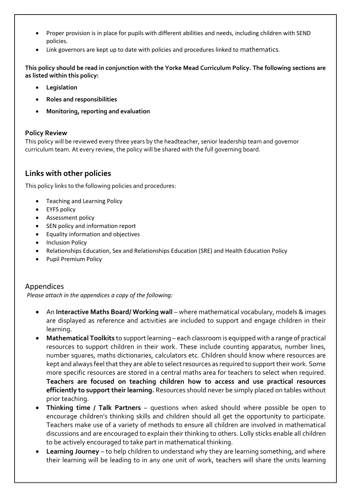- Proper provision is in place for pupils with different abilities and needs, including children with SEND policies.
- Link governors are kept up to date with policies and procedures linked to mathematics.

**This policy should be read in conjunction with the Yorke Mead Curriculum Policy. The following sections are as listed within this policy:** 

- **Legislation**
- **Roles and responsibilities**
- **Monitoring, reporting and evaluation**

#### **Policy Review**

This policy will be reviewed every three years by the headteacher, senior leadership team and governor curriculum team. At every review, the policy will be shared with the full governing board.

## **Links with other policies**

This policy links to the following policies and procedures:

- Teaching and Learning Policy
- EYFS policy
- Assessment policy
- SEN policy and information report
- Equality information and objectives
- **•** Inclusion Policy
- Relationships Education, Sex and Relationships Education (SRE) and Health Education Policy
- Pupil Premium Policy

### Appendices

*Please attach in the appendices a copy of the following:* 

- An **Interactive Maths Board/ Working wall** where mathematical vocabulary, models & images are displayed as reference and activities are included to support and engage children in their learning.
- **Mathematical Toolkits** to support learning each classroom is equipped with a range of practical resources to support children in their work. These include counting apparatus, number lines, number squares, maths dictionaries, calculators etc. Children should know where resources are kept and always feel that they are able to select resources as required to support their work. Some more specific resources are stored in a central maths area for teachers to select when required. **Teachers are focused on teaching children how to access and use practical resources efficiently to support their learning.** Resources should never be simply placed on tables without prior teaching.
- **Thinking time / Talk Partners** questions when asked should where possible be open to encourage children's thinking skills and children should all get the opportunity to participate. Teachers make use of a variety of methods to ensure all children are involved in mathematical discussions and are encouraged to explain their thinking to others. Lolly sticks enable all children to be actively encouraged to take part in mathematical thinking.
- **Learning Journey** to help children to understand why they are learning something, and where their learning will be leading to in any one unit of work, teachers will share the units learning